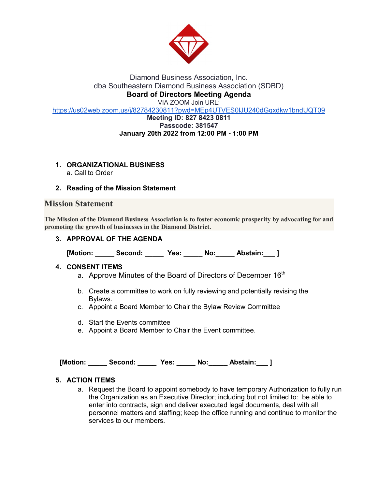

### Diamond Business Association, Inc. dba Southeastern Diamond Business Association (SDBD) **Board of Directors Meeting Agenda** VIA ZOOM Join URL:

<https://us02web.zoom.us/j/82784230811?pwd=MEp4UTVES0lJU240dGgxdkw1bndUQT09>

#### **Meeting ID: 827 8423 0811 Passcode: 381547 January 20th 2022 from 12:00 PM - 1:00 PM**

# **1. ORGANIZATIONAL BUSINESS**

a. Call to Order

### **2. Reading of the Mission Statement**

## **Mission Statement**

**The Mission of the Diamond Business Association is to foster economic prosperity by advocating for and promoting the growth of businesses in the Diamond District.**

### **3. APPROVAL OF THE AGENDA**

**[Motion: \_\_\_\_\_ Second: \_\_\_\_\_ Yes: \_\_\_\_\_ No:\_\_\_\_\_ Abstain:\_\_\_ ]**

### **4. CONSENT ITEMS**

- a. Approve Minutes of the Board of Directors of December 16<sup>th</sup>
- b. Create a committee to work on fully reviewing and potentially revising the Bylaws.
- c. Appoint a Board Member to Chair the Bylaw Review Committee
- d. Start the Events committee
- e. Appoint a Board Member to Chair the Event committee.

 **[Motion: \_\_\_\_\_ Second: \_\_\_\_\_ Yes: \_\_\_\_\_ No:\_\_\_\_\_ Abstain:\_\_\_ ]**

### **5. ACTION ITEMS**

a. Request the Board to appoint somebody to have temporary Authorization to fully run the Organization as an Executive Director; including but not limited to: be able to enter into contracts, sign and deliver executed legal documents, deal with all personnel matters and staffing; keep the office running and continue to monitor the services to our members.